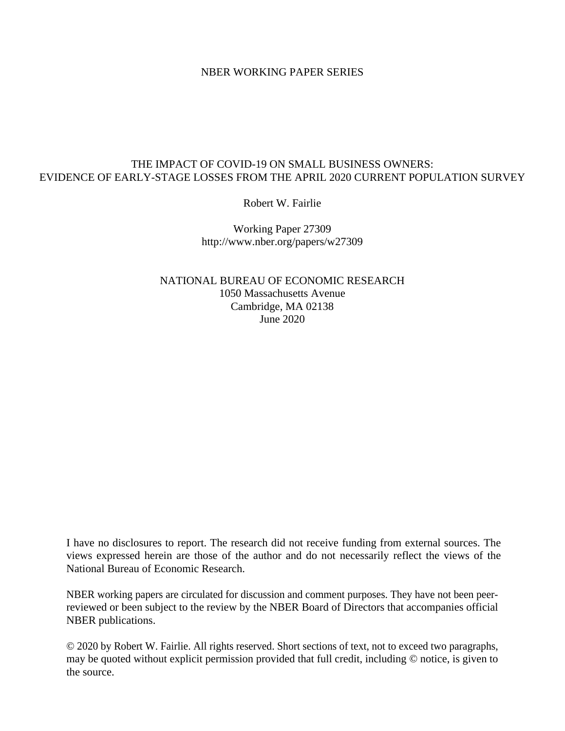#### NBER WORKING PAPER SERIES

### THE IMPACT OF COVID-19 ON SMALL BUSINESS OWNERS: EVIDENCE OF EARLY-STAGE LOSSES FROM THE APRIL 2020 CURRENT POPULATION SURVEY

Robert W. Fairlie

Working Paper 27309 http://www.nber.org/papers/w27309

NATIONAL BUREAU OF ECONOMIC RESEARCH 1050 Massachusetts Avenue Cambridge, MA 02138 June 2020

I have no disclosures to report. The research did not receive funding from external sources. The views expressed herein are those of the author and do not necessarily reflect the views of the National Bureau of Economic Research.

NBER working papers are circulated for discussion and comment purposes. They have not been peerreviewed or been subject to the review by the NBER Board of Directors that accompanies official NBER publications.

© 2020 by Robert W. Fairlie. All rights reserved. Short sections of text, not to exceed two paragraphs, may be quoted without explicit permission provided that full credit, including © notice, is given to the source.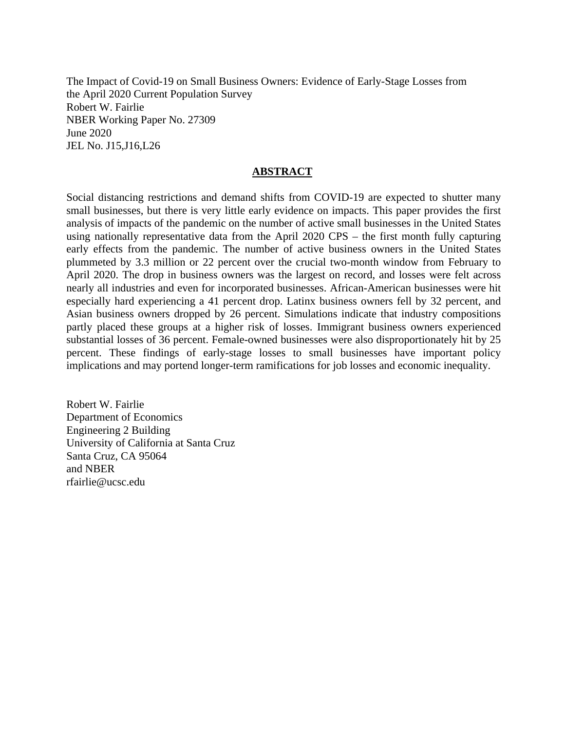The Impact of Covid-19 on Small Business Owners: Evidence of Early-Stage Losses from the April 2020 Current Population Survey Robert W. Fairlie NBER Working Paper No. 27309 June 2020 JEL No. J15,J16,L26

### **ABSTRACT**

Social distancing restrictions and demand shifts from COVID-19 are expected to shutter many small businesses, but there is very little early evidence on impacts. This paper provides the first analysis of impacts of the pandemic on the number of active small businesses in the United States using nationally representative data from the April 2020 CPS – the first month fully capturing early effects from the pandemic. The number of active business owners in the United States plummeted by 3.3 million or 22 percent over the crucial two-month window from February to April 2020. The drop in business owners was the largest on record, and losses were felt across nearly all industries and even for incorporated businesses. African-American businesses were hit especially hard experiencing a 41 percent drop. Latinx business owners fell by 32 percent, and Asian business owners dropped by 26 percent. Simulations indicate that industry compositions partly placed these groups at a higher risk of losses. Immigrant business owners experienced substantial losses of 36 percent. Female-owned businesses were also disproportionately hit by 25 percent. These findings of early-stage losses to small businesses have important policy implications and may portend longer-term ramifications for job losses and economic inequality.

Robert W. Fairlie Department of Economics Engineering 2 Building University of California at Santa Cruz Santa Cruz, CA 95064 and NBER rfairlie@ucsc.edu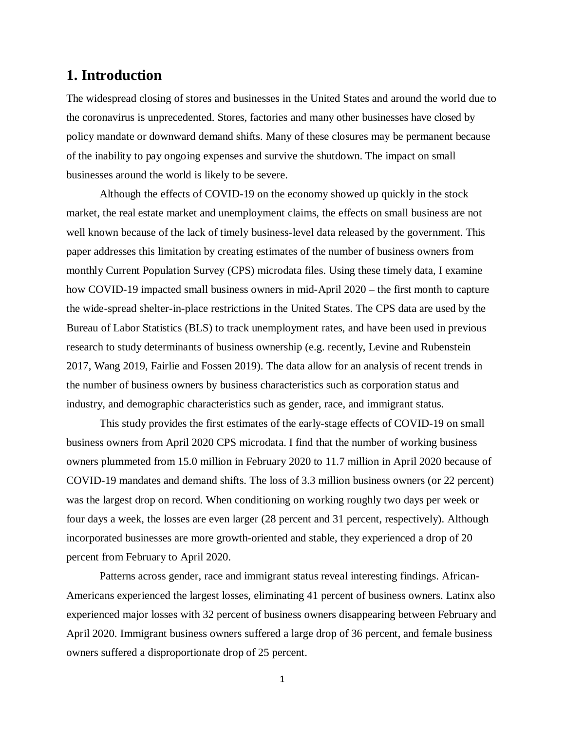# **1. Introduction**

The widespread closing of stores and businesses in the United States and around the world due to the coronavirus is unprecedented. Stores, factories and many other businesses have closed by policy mandate or downward demand shifts. Many of these closures may be permanent because of the inability to pay ongoing expenses and survive the shutdown. The impact on small businesses around the world is likely to be severe.

Although the effects of COVID-19 on the economy showed up quickly in the stock market, the real estate market and unemployment claims, the effects on small business are not well known because of the lack of timely business-level data released by the government. This paper addresses this limitation by creating estimates of the number of business owners from monthly Current Population Survey (CPS) microdata files. Using these timely data, I examine how COVID-19 impacted small business owners in mid-April 2020 – the first month to capture the wide-spread shelter-in-place restrictions in the United States. The CPS data are used by the Bureau of Labor Statistics (BLS) to track unemployment rates, and have been used in previous research to study determinants of business ownership (e.g. recently, Levine and Rubenstein 2017, Wang 2019, Fairlie and Fossen 2019). The data allow for an analysis of recent trends in the number of business owners by business characteristics such as corporation status and industry, and demographic characteristics such as gender, race, and immigrant status.

This study provides the first estimates of the early-stage effects of COVID-19 on small business owners from April 2020 CPS microdata. I find that the number of working business owners plummeted from 15.0 million in February 2020 to 11.7 million in April 2020 because of COVID-19 mandates and demand shifts. The loss of 3.3 million business owners (or 22 percent) was the largest drop on record. When conditioning on working roughly two days per week or four days a week, the losses are even larger (28 percent and 31 percent, respectively). Although incorporated businesses are more growth-oriented and stable, they experienced a drop of 20 percent from February to April 2020.

Patterns across gender, race and immigrant status reveal interesting findings. African-Americans experienced the largest losses, eliminating 41 percent of business owners. Latinx also experienced major losses with 32 percent of business owners disappearing between February and April 2020. Immigrant business owners suffered a large drop of 36 percent, and female business owners suffered a disproportionate drop of 25 percent.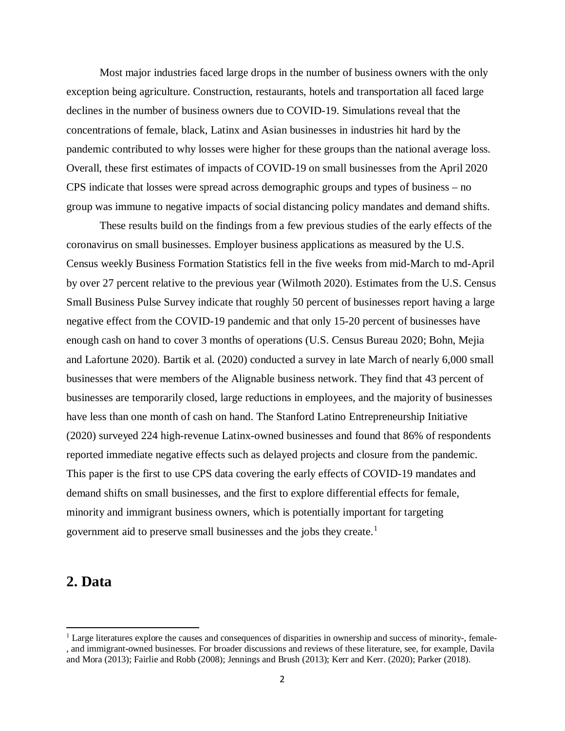Most major industries faced large drops in the number of business owners with the only exception being agriculture. Construction, restaurants, hotels and transportation all faced large declines in the number of business owners due to COVID-19. Simulations reveal that the concentrations of female, black, Latinx and Asian businesses in industries hit hard by the pandemic contributed to why losses were higher for these groups than the national average loss. Overall, these first estimates of impacts of COVID-19 on small businesses from the April 2020 CPS indicate that losses were spread across demographic groups and types of business – no group was immune to negative impacts of social distancing policy mandates and demand shifts.

These results build on the findings from a few previous studies of the early effects of the coronavirus on small businesses. Employer business applications as measured by the U.S. Census weekly Business Formation Statistics fell in the five weeks from mid-March to md-April by over 27 percent relative to the previous year (Wilmoth 2020). Estimates from the U.S. Census Small Business Pulse Survey indicate that roughly 50 percent of businesses report having a large negative effect from the COVID-19 pandemic and that only 15-20 percent of businesses have enough cash on hand to cover 3 months of operations (U.S. Census Bureau 2020; Bohn, Mejia and Lafortune 2020). Bartik et al. (2020) conducted a survey in late March of nearly 6,000 small businesses that were members of the Alignable business network. They find that 43 percent of businesses are temporarily closed, large reductions in employees, and the majority of businesses have less than one month of cash on hand. The Stanford Latino Entrepreneurship Initiative (2020) surveyed 224 high-revenue Latinx-owned businesses and found that 86% of respondents reported immediate negative effects such as delayed projects and closure from the pandemic. This paper is the first to use CPS data covering the early effects of COVID-19 mandates and demand shifts on small businesses, and the first to explore differential effects for female, minority and immigrant business owners, which is potentially important for targeting government aid to preserve small businesses and the jobs they create.<sup>[1](#page-3-0)</sup>

## **2. Data**

<span id="page-3-0"></span><sup>&</sup>lt;sup>1</sup> Large literatures explore the causes and consequences of disparities in ownership and success of minority-, female-, and immigrant-owned businesses. For broader discussions and reviews of these literature, see, for example, Davila and Mora (2013); Fairlie and Robb (2008); Jennings and Brush (2013); Kerr and Kerr. (2020); Parker (2018).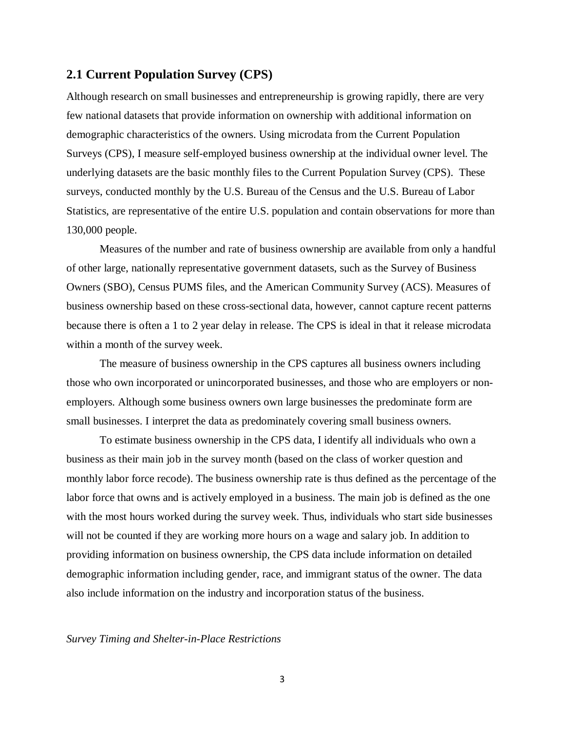### **2.1 Current Population Survey (CPS)**

Although research on small businesses and entrepreneurship is growing rapidly, there are very few national datasets that provide information on ownership with additional information on demographic characteristics of the owners. Using microdata from the Current Population Surveys (CPS), I measure self-employed business ownership at the individual owner level. The underlying datasets are the basic monthly files to the Current Population Survey (CPS). These surveys, conducted monthly by the U.S. Bureau of the Census and the U.S. Bureau of Labor Statistics, are representative of the entire U.S. population and contain observations for more than 130,000 people.

Measures of the number and rate of business ownership are available from only a handful of other large, nationally representative government datasets, such as the Survey of Business Owners (SBO), Census PUMS files, and the American Community Survey (ACS). Measures of business ownership based on these cross-sectional data, however, cannot capture recent patterns because there is often a 1 to 2 year delay in release. The CPS is ideal in that it release microdata within a month of the survey week.

The measure of business ownership in the CPS captures all business owners including those who own incorporated or unincorporated businesses, and those who are employers or nonemployers. Although some business owners own large businesses the predominate form are small businesses. I interpret the data as predominately covering small business owners.

To estimate business ownership in the CPS data, I identify all individuals who own a business as their main job in the survey month (based on the class of worker question and monthly labor force recode). The business ownership rate is thus defined as the percentage of the labor force that owns and is actively employed in a business. The main job is defined as the one with the most hours worked during the survey week. Thus, individuals who start side businesses will not be counted if they are working more hours on a wage and salary job. In addition to providing information on business ownership, the CPS data include information on detailed demographic information including gender, race, and immigrant status of the owner. The data also include information on the industry and incorporation status of the business.

#### *Survey Timing and Shelter-in-Place Restrictions*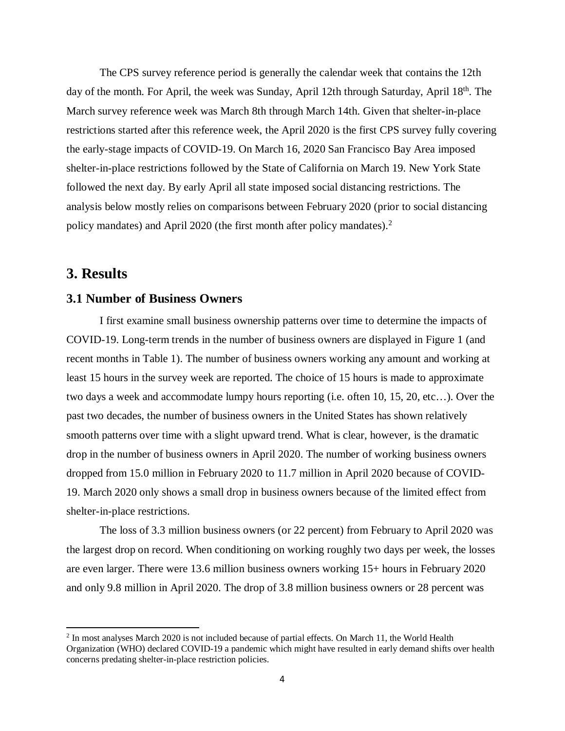The CPS survey reference period is generally the calendar week that contains the 12th day of the month. For April, the week was Sunday, April 12th through Saturday, April 18<sup>th</sup>. The March survey reference week was March 8th through March 14th. Given that shelter-in-place restrictions started after this reference week, the April 2020 is the first CPS survey fully covering the early-stage impacts of COVID-19. On March 16, 2020 San Francisco Bay Area imposed shelter-in-place restrictions followed by the State of California on March 19. New York State followed the next day. By early April all state imposed social distancing restrictions. The analysis below mostly relies on comparisons between February 2020 (prior to social distancing policy mandates) and April [2](#page-5-0)020 (the first month after policy mandates).<sup>2</sup>

# **3. Results**

 $\overline{a}$ 

#### **3.1 Number of Business Owners**

I first examine small business ownership patterns over time to determine the impacts of COVID-19. Long-term trends in the number of business owners are displayed in Figure 1 (and recent months in Table 1). The number of business owners working any amount and working at least 15 hours in the survey week are reported. The choice of 15 hours is made to approximate two days a week and accommodate lumpy hours reporting (i.e. often 10, 15, 20, etc…). Over the past two decades, the number of business owners in the United States has shown relatively smooth patterns over time with a slight upward trend. What is clear, however, is the dramatic drop in the number of business owners in April 2020. The number of working business owners dropped from 15.0 million in February 2020 to 11.7 million in April 2020 because of COVID-19. March 2020 only shows a small drop in business owners because of the limited effect from shelter-in-place restrictions.

The loss of 3.3 million business owners (or 22 percent) from February to April 2020 was the largest drop on record. When conditioning on working roughly two days per week, the losses are even larger. There were 13.6 million business owners working 15+ hours in February 2020 and only 9.8 million in April 2020. The drop of 3.8 million business owners or 28 percent was

<span id="page-5-0"></span><sup>2</sup> In most analyses March 2020 is not included because of partial effects. On March 11, the World Health Organization (WHO) declared COVID-19 a pandemic which might have resulted in early demand shifts over health concerns predating shelter-in-place restriction policies.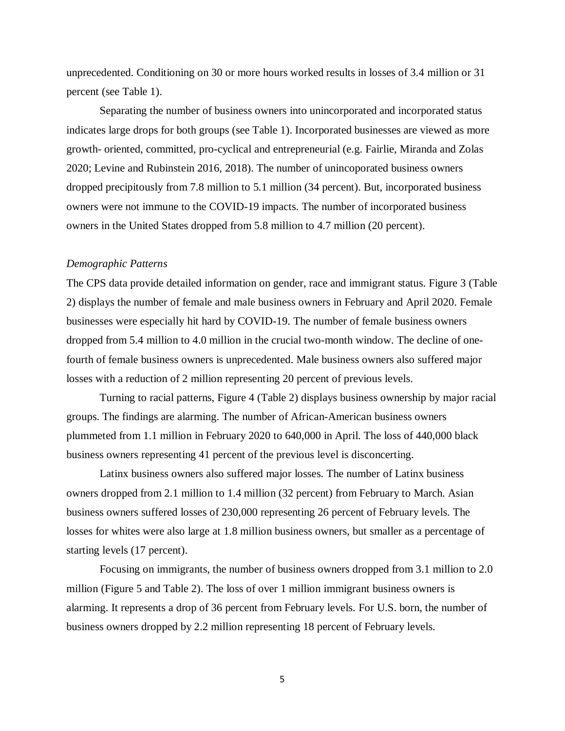unprecedented. Conditioning on 30 or more hours worked results in losses of 3.4 million or 31 percent (see Table 1).

Separating the number of business owners into unincorporated and incorporated status indicates large drops for both groups (see Table 1). Incorporated businesses are viewed as more growth- oriented, committed, pro-cyclical and entrepreneurial (e.g. Fairlie, Miranda and Zolas 2020; Levine and Rubinstein 2016, 2018). The number of unincoporated business owners dropped precipitously from 7.8 million to 5.1 million (34 percent). But, incorporated business owners were not immune to the COVID-19 impacts. The number of incorporated business owners in the United States dropped from 5.8 million to 4.7 million (20 percent).

#### *Demographic Patterns*

The CPS data provide detailed information on gender, race and immigrant status. Figure 3 (Table 2) displays the number of female and male business owners in February and April 2020. Female businesses were especially hit hard by COVID-19. The number of female business owners dropped from 5.4 million to 4.0 million in the crucial two-month window. The decline of onefourth of female business owners is unprecedented. Male business owners also suffered major losses with a reduction of 2 million representing 20 percent of previous levels.

Turning to racial patterns, Figure 4 (Table 2) displays business ownership by major racial groups. The findings are alarming. The number of African-American business owners plummeted from 1.1 million in February 2020 to 640,000 in April. The loss of 440,000 black business owners representing 41 percent of the previous level is disconcerting.

Latinx business owners also suffered major losses. The number of Latinx business owners dropped from 2.1 million to 1.4 million (32 percent) from February to March. Asian business owners suffered losses of 230,000 representing 26 percent of February levels. The losses for whites were also large at 1.8 million business owners, but smaller as a percentage of starting levels (17 percent).

Focusing on immigrants, the number of business owners dropped from 3.1 million to 2.0 million (Figure 5 and Table 2). The loss of over 1 million immigrant business owners is alarming. It represents a drop of 36 percent from February levels. For U.S. born, the number of business owners dropped by 2.2 million representing 18 percent of February levels.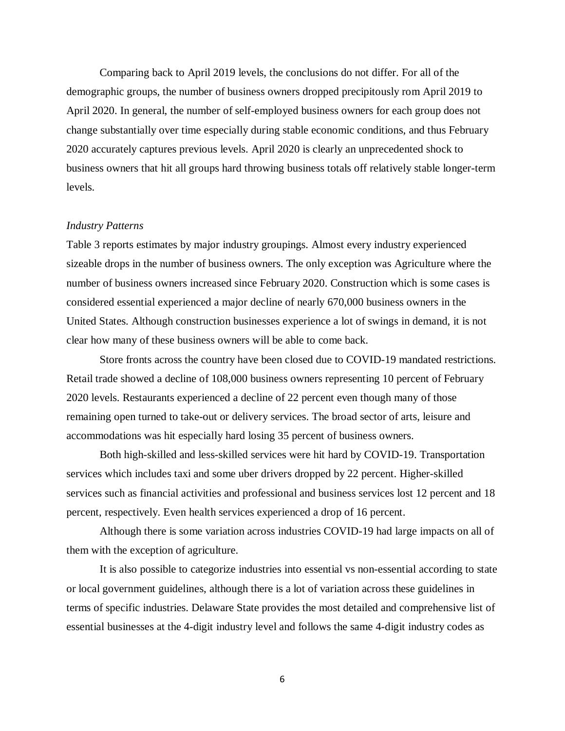Comparing back to April 2019 levels, the conclusions do not differ. For all of the demographic groups, the number of business owners dropped precipitously rom April 2019 to April 2020. In general, the number of self-employed business owners for each group does not change substantially over time especially during stable economic conditions, and thus February 2020 accurately captures previous levels. April 2020 is clearly an unprecedented shock to business owners that hit all groups hard throwing business totals off relatively stable longer-term levels.

#### *Industry Patterns*

Table 3 reports estimates by major industry groupings. Almost every industry experienced sizeable drops in the number of business owners. The only exception was Agriculture where the number of business owners increased since February 2020. Construction which is some cases is considered essential experienced a major decline of nearly 670,000 business owners in the United States. Although construction businesses experience a lot of swings in demand, it is not clear how many of these business owners will be able to come back.

Store fronts across the country have been closed due to COVID-19 mandated restrictions. Retail trade showed a decline of 108,000 business owners representing 10 percent of February 2020 levels. Restaurants experienced a decline of 22 percent even though many of those remaining open turned to take-out or delivery services. The broad sector of arts, leisure and accommodations was hit especially hard losing 35 percent of business owners.

Both high-skilled and less-skilled services were hit hard by COVID-19. Transportation services which includes taxi and some uber drivers dropped by 22 percent. Higher-skilled services such as financial activities and professional and business services lost 12 percent and 18 percent, respectively. Even health services experienced a drop of 16 percent.

Although there is some variation across industries COVID-19 had large impacts on all of them with the exception of agriculture.

It is also possible to categorize industries into essential vs non-essential according to state or local government guidelines, although there is a lot of variation across these guidelines in terms of specific industries. Delaware State provides the most detailed and comprehensive list of essential businesses at the 4-digit industry level and follows the same 4-digit industry codes as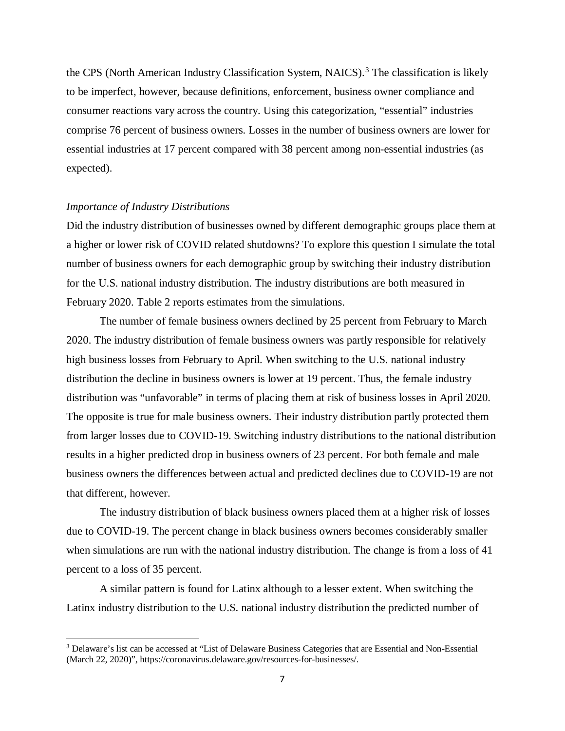the CPS (North American Industry Classification System, NAICS).<sup>[3](#page-8-0)</sup> The classification is likely to be imperfect, however, because definitions, enforcement, business owner compliance and consumer reactions vary across the country. Using this categorization, "essential" industries comprise 76 percent of business owners. Losses in the number of business owners are lower for essential industries at 17 percent compared with 38 percent among non-essential industries (as expected).

#### *Importance of Industry Distributions*

 $\overline{\phantom{a}}$ 

Did the industry distribution of businesses owned by different demographic groups place them at a higher or lower risk of COVID related shutdowns? To explore this question I simulate the total number of business owners for each demographic group by switching their industry distribution for the U.S. national industry distribution. The industry distributions are both measured in February 2020. Table 2 reports estimates from the simulations.

The number of female business owners declined by 25 percent from February to March 2020. The industry distribution of female business owners was partly responsible for relatively high business losses from February to April. When switching to the U.S. national industry distribution the decline in business owners is lower at 19 percent. Thus, the female industry distribution was "unfavorable" in terms of placing them at risk of business losses in April 2020. The opposite is true for male business owners. Their industry distribution partly protected them from larger losses due to COVID-19. Switching industry distributions to the national distribution results in a higher predicted drop in business owners of 23 percent. For both female and male business owners the differences between actual and predicted declines due to COVID-19 are not that different, however.

The industry distribution of black business owners placed them at a higher risk of losses due to COVID-19. The percent change in black business owners becomes considerably smaller when simulations are run with the national industry distribution. The change is from a loss of 41 percent to a loss of 35 percent.

A similar pattern is found for Latinx although to a lesser extent. When switching the Latinx industry distribution to the U.S. national industry distribution the predicted number of

<span id="page-8-0"></span><sup>3</sup> Delaware's list can be accessed at "List of Delaware Business Categories that are Essential and Non-Essential (March 22, 2020)", https://coronavirus.delaware.gov/resources-for-businesses/.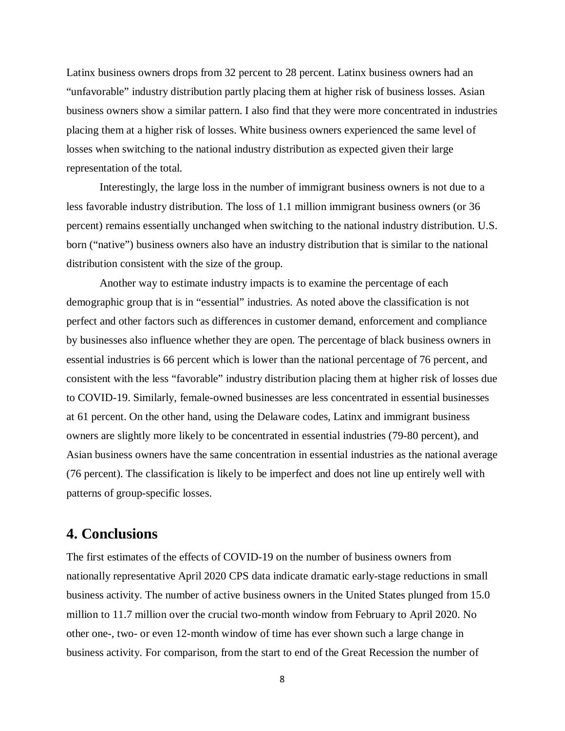Latinx business owners drops from 32 percent to 28 percent. Latinx business owners had an "unfavorable" industry distribution partly placing them at higher risk of business losses. Asian business owners show a similar pattern. I also find that they were more concentrated in industries placing them at a higher risk of losses. White business owners experienced the same level of losses when switching to the national industry distribution as expected given their large representation of the total.

Interestingly, the large loss in the number of immigrant business owners is not due to a less favorable industry distribution. The loss of 1.1 million immigrant business owners (or 36 percent) remains essentially unchanged when switching to the national industry distribution. U.S. born ("native") business owners also have an industry distribution that is similar to the national distribution consistent with the size of the group.

Another way to estimate industry impacts is to examine the percentage of each demographic group that is in "essential" industries. As noted above the classification is not perfect and other factors such as differences in customer demand, enforcement and compliance by businesses also influence whether they are open. The percentage of black business owners in essential industries is 66 percent which is lower than the national percentage of 76 percent, and consistent with the less "favorable" industry distribution placing them at higher risk of losses due to COVID-19. Similarly, female-owned businesses are less concentrated in essential businesses at 61 percent. On the other hand, using the Delaware codes, Latinx and immigrant business owners are slightly more likely to be concentrated in essential industries (79-80 percent), and Asian business owners have the same concentration in essential industries as the national average (76 percent). The classification is likely to be imperfect and does not line up entirely well with patterns of group-specific losses.

# **4. Conclusions**

The first estimates of the effects of COVID-19 on the number of business owners from nationally representative April 2020 CPS data indicate dramatic early-stage reductions in small business activity. The number of active business owners in the United States plunged from 15.0 million to 11.7 million over the crucial two-month window from February to April 2020. No other one-, two- or even 12-month window of time has ever shown such a large change in business activity. For comparison, from the start to end of the Great Recession the number of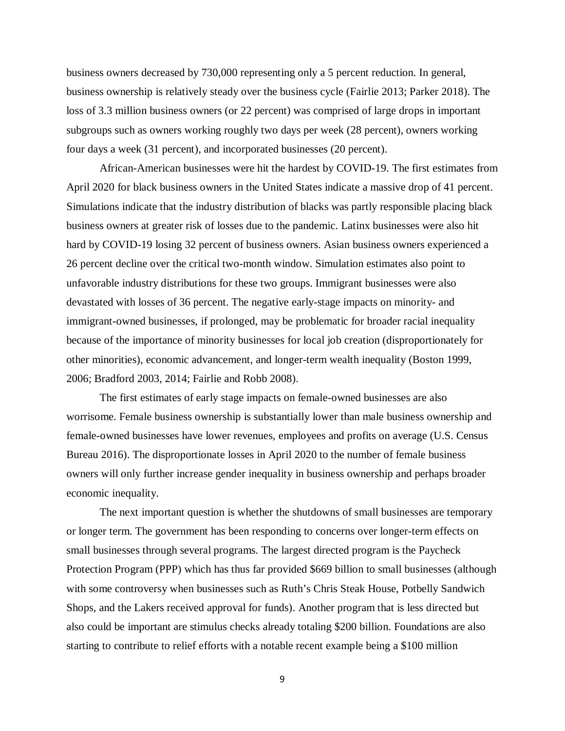business owners decreased by 730,000 representing only a 5 percent reduction. In general, business ownership is relatively steady over the business cycle (Fairlie 2013; Parker 2018). The loss of 3.3 million business owners (or 22 percent) was comprised of large drops in important subgroups such as owners working roughly two days per week (28 percent), owners working four days a week (31 percent), and incorporated businesses (20 percent).

African-American businesses were hit the hardest by COVID-19. The first estimates from April 2020 for black business owners in the United States indicate a massive drop of 41 percent. Simulations indicate that the industry distribution of blacks was partly responsible placing black business owners at greater risk of losses due to the pandemic. Latinx businesses were also hit hard by COVID-19 losing 32 percent of business owners. Asian business owners experienced a 26 percent decline over the critical two-month window. Simulation estimates also point to unfavorable industry distributions for these two groups. Immigrant businesses were also devastated with losses of 36 percent. The negative early-stage impacts on minority- and immigrant-owned businesses, if prolonged, may be problematic for broader racial inequality because of the importance of minority businesses for local job creation (disproportionately for other minorities), economic advancement, and longer-term wealth inequality (Boston 1999, 2006; Bradford 2003, 2014; Fairlie and Robb 2008).

The first estimates of early stage impacts on female-owned businesses are also worrisome. Female business ownership is substantially lower than male business ownership and female-owned businesses have lower revenues, employees and profits on average (U.S. Census Bureau 2016). The disproportionate losses in April 2020 to the number of female business owners will only further increase gender inequality in business ownership and perhaps broader economic inequality.

The next important question is whether the shutdowns of small businesses are temporary or longer term. The government has been responding to concerns over longer-term effects on small businesses through several programs. The largest directed program is the Paycheck Protection Program (PPP) which has thus far provided \$669 billion to small businesses (although with some controversy when businesses such as Ruth's Chris Steak House, Potbelly Sandwich Shops, and the Lakers received approval for funds). Another program that is less directed but also could be important are stimulus checks already totaling \$200 billion. Foundations are also starting to contribute to relief efforts with a notable recent example being a \$100 million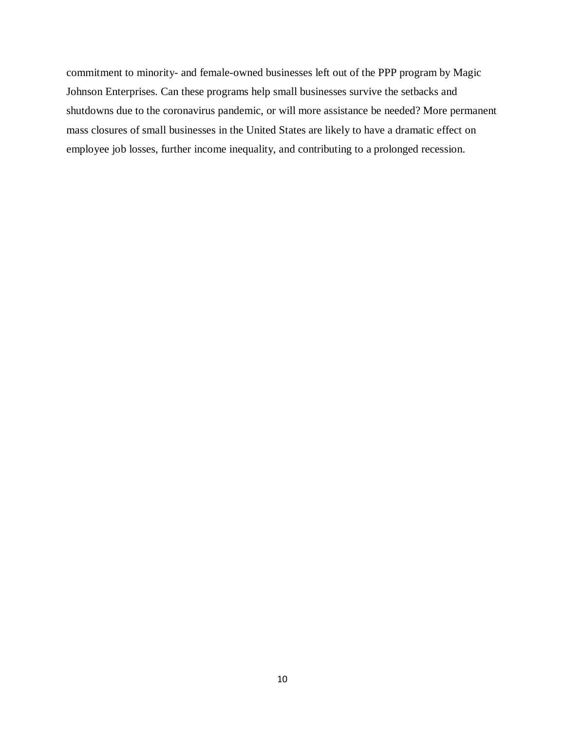commitment to minority- and female-owned businesses left out of the PPP program by Magic Johnson Enterprises. Can these programs help small businesses survive the setbacks and shutdowns due to the coronavirus pandemic, or will more assistance be needed? More permanent mass closures of small businesses in the United States are likely to have a dramatic effect on employee job losses, further income inequality, and contributing to a prolonged recession.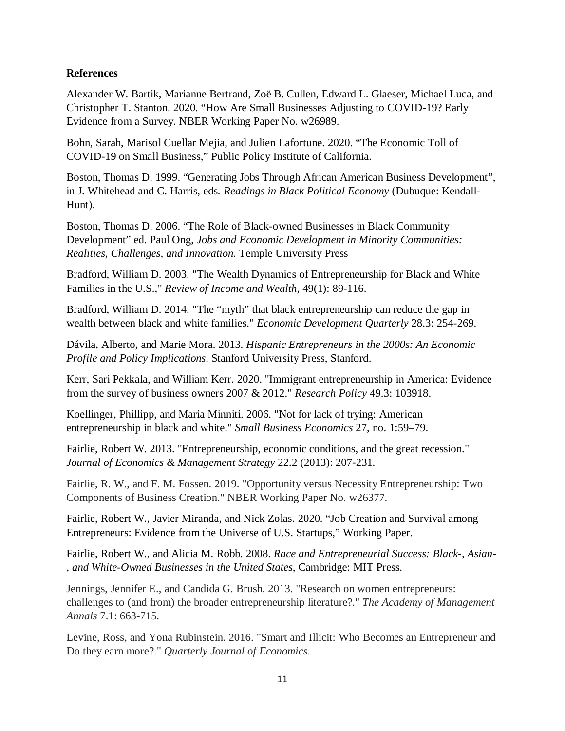## **References**

Alexander W. Bartik, Marianne Bertrand, Zoë B. Cullen, Edward L. Glaeser, Michael Luca, and Christopher T. Stanton. 2020. "How Are Small Businesses Adjusting to COVID-19? Early Evidence from a Survey. NBER Working Paper No. w26989.

Bohn, Sarah, Marisol Cuellar Mejia, and Julien Lafortune. 2020. "The Economic Toll of COVID-19 on Small Business," Public Policy Institute of California.

Boston, Thomas D. 1999. "Generating Jobs Through African American Business Development", in J. Whitehead and C. Harris, eds*. Readings in Black Political Economy* (Dubuque: Kendall-Hunt).

Boston, Thomas D. 2006. "The Role of Black-owned Businesses in Black Community Development" ed. Paul Ong, *Jobs and Economic Development in Minority Communities: Realities, Challenges, and Innovation.* Temple University Press

Bradford, William D. 2003. "The Wealth Dynamics of Entrepreneurship for Black and White Families in the U.S.," *Review of Income and Wealth*, 49(1): 89-116.

Bradford, William D. 2014. "The "myth" that black entrepreneurship can reduce the gap in wealth between black and white families." *Economic Development Quarterly* 28.3: 254-269.

Dávila, Alberto, and Marie Mora. 2013. *Hispanic Entrepreneurs in the 2000s: An Economic Profile and Policy Implications*. Stanford University Press, Stanford.

Kerr, Sari Pekkala, and William Kerr. 2020. "Immigrant entrepreneurship in America: Evidence from the survey of business owners 2007 & 2012." *Research Policy* 49.3: 103918.

Koellinger, Phillipp, and Maria Minniti. 2006. "Not for lack of trying: American entrepreneurship in black and white." *Small Business Economics* 27, no. 1:59–79.

Fairlie, Robert W. 2013. "Entrepreneurship, economic conditions, and the great recession." *Journal of Economics & Management Strategy* 22.2 (2013): 207-231.

Fairlie, R. W., and F. M. Fossen. 2019. "Opportunity versus Necessity Entrepreneurship: Two Components of Business Creation." NBER Working Paper No. w26377.

Fairlie, Robert W., Javier Miranda, and Nick Zolas. 2020. "Job Creation and Survival among Entrepreneurs: Evidence from the Universe of U.S. Startups," Working Paper.

Fairlie, Robert W., and Alicia M. Robb. 2008. *Race and Entrepreneurial Success: Black-, Asian- , and White-Owned Businesses in the United States*, Cambridge: MIT Press.

Jennings, Jennifer E., and Candida G. Brush. 2013. "Research on women entrepreneurs: challenges to (and from) the broader entrepreneurship literature?." *The Academy of Management Annals* 7.1: 663-715.

Levine, Ross, and Yona Rubinstein. 2016. "Smart and Illicit: Who Becomes an Entrepreneur and Do they earn more?." *Quarterly Journal of Economics*.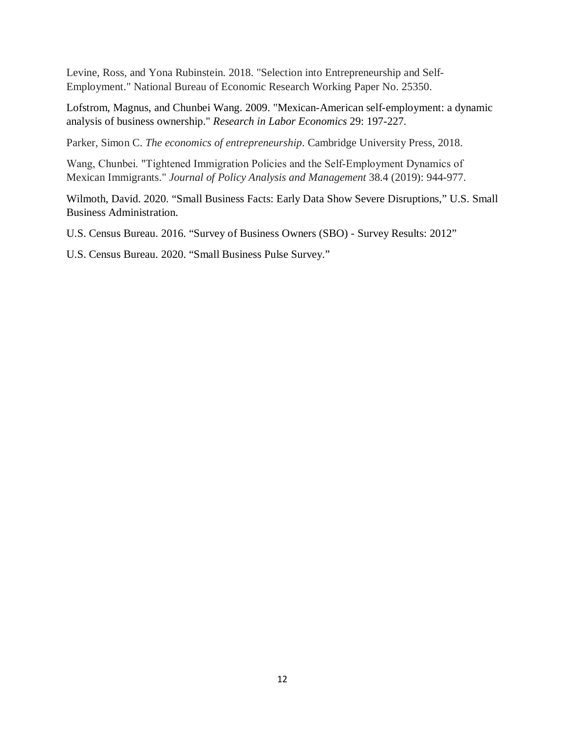Levine, Ross, and Yona Rubinstein. 2018. "Selection into Entrepreneurship and Self-Employment." National Bureau of Economic Research Working Paper No. 25350.

Lofstrom, Magnus, and Chunbei Wang. 2009. "Mexican-American self-employment: a dynamic analysis of business ownership." *Research in Labor Economics* 29: 197-227.

Parker, Simon C. *The economics of entrepreneurship*. Cambridge University Press, 2018.

Wang, Chunbei. "Tightened Immigration Policies and the Self‐Employment Dynamics of Mexican Immigrants." *Journal of Policy Analysis and Management* 38.4 (2019): 944-977.

Wilmoth, David. 2020. "Small Business Facts: Early Data Show Severe Disruptions," U.S. Small Business Administration.

U.S. Census Bureau. 2016. "Survey of Business Owners (SBO) - Survey Results: 2012"

U.S. Census Bureau. 2020. "Small Business Pulse Survey."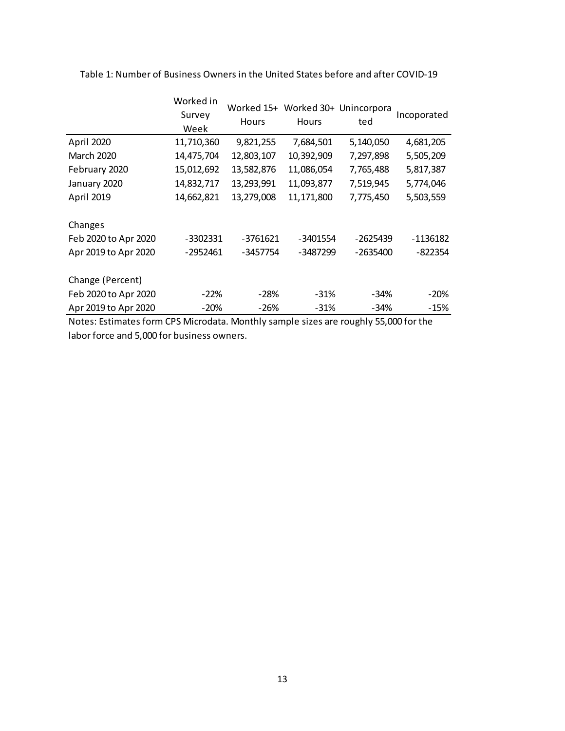|                                                         | Worked in<br>Survey<br>Week | Hours                | Worked 15+ Worked 30+ Unincorpora<br><b>Hours</b> | ted                    | Incoporated         |
|---------------------------------------------------------|-----------------------------|----------------------|---------------------------------------------------|------------------------|---------------------|
| April 2020                                              | 11,710,360                  | 9,821,255            | 7,684,501                                         | 5,140,050              | 4,681,205           |
| <b>March 2020</b>                                       | 14,475,704                  | 12,803,107           | 10,392,909                                        | 7,297,898              | 5,505,209           |
| February 2020                                           | 15,012,692                  | 13,582,876           | 11,086,054                                        | 7,765,488              | 5,817,387           |
| January 2020                                            | 14,832,717                  | 13,293,991           | 11,093,877                                        | 7,519,945              | 5,774,046           |
| April 2019                                              | 14,662,821                  | 13,279,008           | 11,171,800                                        | 7,775,450              | 5,503,559           |
| Changes<br>Feb 2020 to Apr 2020<br>Apr 2019 to Apr 2020 | -3302331<br>-2952461        | -3761621<br>-3457754 | -3401554<br>-3487299                              | -2625439<br>$-2635400$ | -1136182<br>-822354 |
| Change (Percent)                                        |                             |                      |                                                   |                        |                     |
| Feb 2020 to Apr 2020                                    | $-22\%$                     | -28%                 | $-31%$                                            | -34%                   | -20%                |
| Apr 2019 to Apr 2020                                    | $-20%$                      | -26%                 | $-31%$                                            | -34%                   | $-15%$              |

Table 1: Number of Business Owners in the United States before and after COVID-19

Notes: Estimates form CPS Microdata. Monthly sample sizes are roughly 55,000 for the labor force and 5,000 for business owners.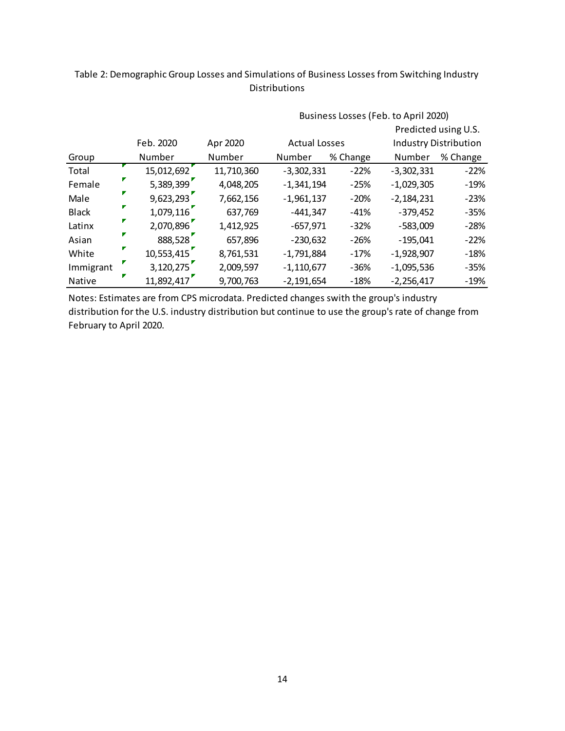## Table 2: Demographic Group Losses and Simulations of Business Losses from Switching Industry Distributions

|               |            |            |                      |          | Predicted using U.S. |                              |
|---------------|------------|------------|----------------------|----------|----------------------|------------------------------|
|               | Feb. 2020  | Apr 2020   | <b>Actual Losses</b> |          |                      | <b>Industry Distribution</b> |
| Group         | Number     | Number     | Number               | % Change | Number               | % Change                     |
| Total         | 15,012,692 | 11,710,360 | $-3,302,331$         | $-22%$   | $-3,302,331$         | $-22%$                       |
| Female        | 5,389,399  | 4,048,205  | $-1,341,194$         | $-25%$   | $-1,029,305$         | $-19%$                       |
| Male          | 9,623,293  | 7,662,156  | $-1,961,137$         | $-20%$   | $-2,184,231$         | $-23%$                       |
| <b>Black</b>  | 1,079,116  | 637,769    | $-441,347$           | $-41%$   | $-379,452$           | $-35%$                       |
| Latinx        | 2,070,896  | 1,412,925  | $-657,971$           | $-32%$   | $-583,009$           | $-28%$                       |
| Asian         | 888,528    | 657,896    | $-230,632$           | $-26%$   | $-195,041$           | $-22%$                       |
| White         | 10,553,415 | 8,761,531  | $-1,791,884$         | $-17%$   | $-1,928,907$         | $-18%$                       |
| Immigrant     | 3,120,275  | 2,009,597  | $-1,110,677$         | $-36%$   | $-1,095,536$         | $-35%$                       |
| <b>Native</b> | 11,892,417 | 9,700,763  | $-2,191,654$         | $-18%$   | $-2,256,417$         | $-19%$                       |

Business Losses (Feb. to April 2020)

Notes: Estimates are from CPS microdata. Predicted changes swith the group's industry distribution for the U.S. industry distribution but continue to use the group's rate of change from February to April 2020.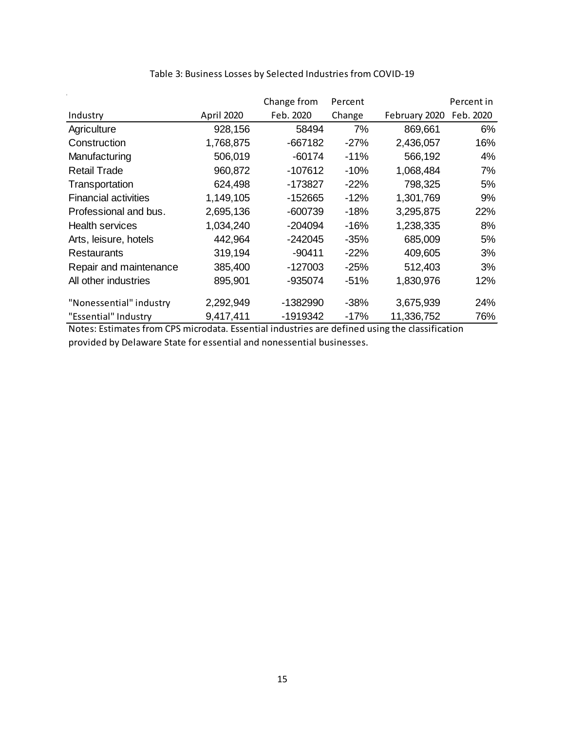|                             |            | Change from | Percent |               | Percent in |
|-----------------------------|------------|-------------|---------|---------------|------------|
| Industry                    | April 2020 | Feb. 2020   | Change  | February 2020 | Feb. 2020  |
| Agriculture                 | 928,156    | 58494       | 7%      | 869,661       | 6%         |
| Construction                | 1,768,875  | $-667182$   | $-27%$  | 2,436,057     | 16%        |
| Manufacturing               | 506,019    | $-60174$    | $-11%$  | 566,192       | 4%         |
| <b>Retail Trade</b>         | 960,872    | $-107612$   | $-10%$  | 1,068,484     | 7%         |
| Transportation              | 624,498    | $-173827$   | $-22%$  | 798,325       | 5%         |
| <b>Financial activities</b> | 1,149,105  | $-152665$   | $-12%$  | 1,301,769     | 9%         |
| Professional and bus.       | 2,695,136  | $-600739$   | $-18%$  | 3,295,875     | <b>22%</b> |
| <b>Health services</b>      | 1,034,240  | $-204094$   | $-16%$  | 1,238,335     | 8%         |
| Arts, leisure, hotels       | 442,964    | $-242045$   | $-35%$  | 685,009       | 5%         |
| Restaurants                 | 319,194    | $-90411$    | $-22%$  | 409,605       | 3%         |
| Repair and maintenance      | 385,400    | $-127003$   | $-25%$  | 512,403       | 3%         |
| All other industries        | 895,901    | -935074     | $-51%$  | 1,830,976     | 12%        |
| "Nonessential" industry     | 2,292,949  | -1382990    | $-38%$  | 3,675,939     | 24%        |
| "Essential" Industry        | 9,417,411  | -1919342    | $-17%$  | 11,336,752    | 76%        |

## Table 3: Business Losses by Selected Industries from COVID-19

Notes: Estimates from CPS microdata. Essential industries are defined using the classification provided by Delaware State for essential and nonessential businesses.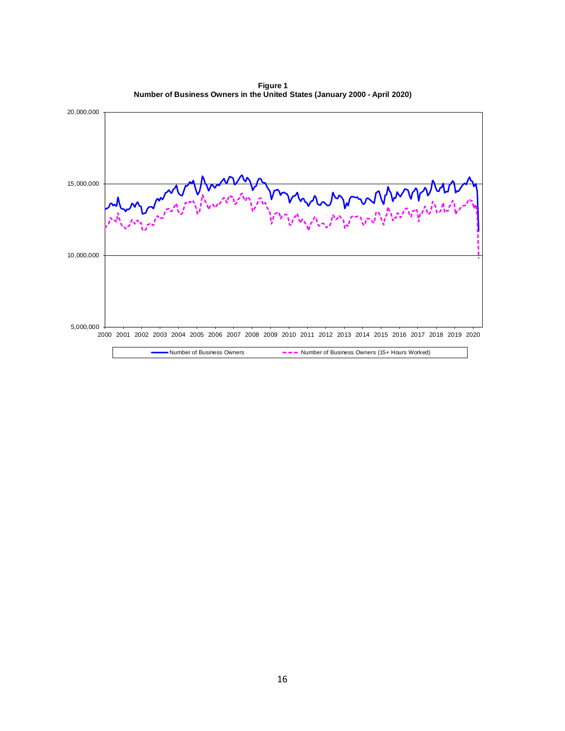**Figure 1 Number of Business Owners in the United States (January 2000 - April 2020)**

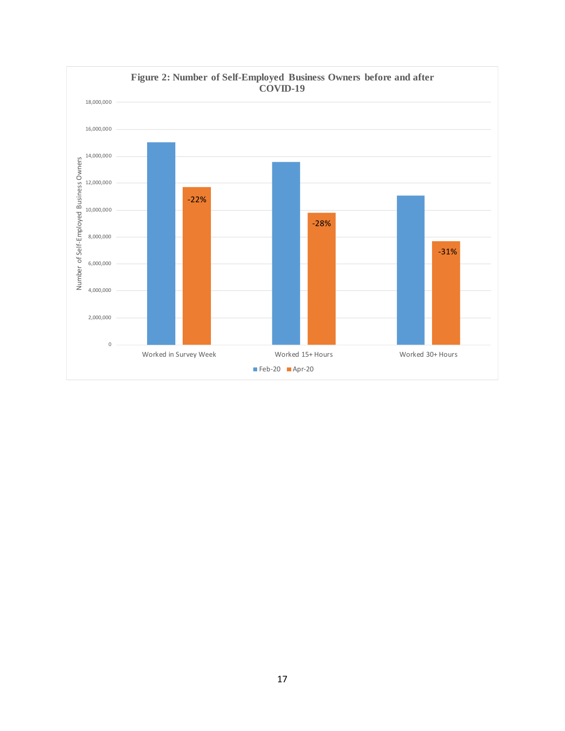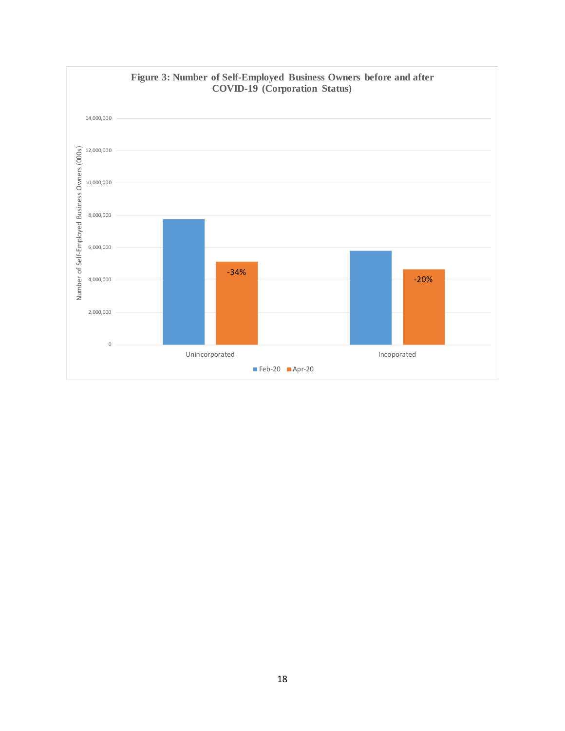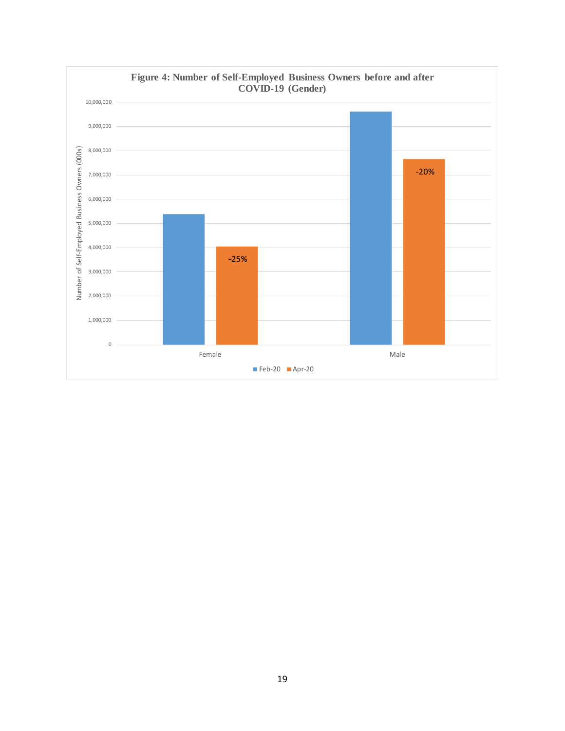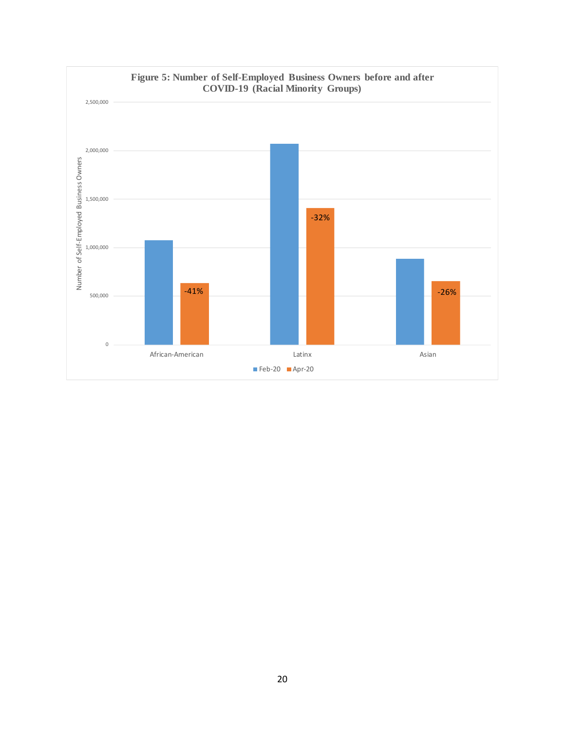